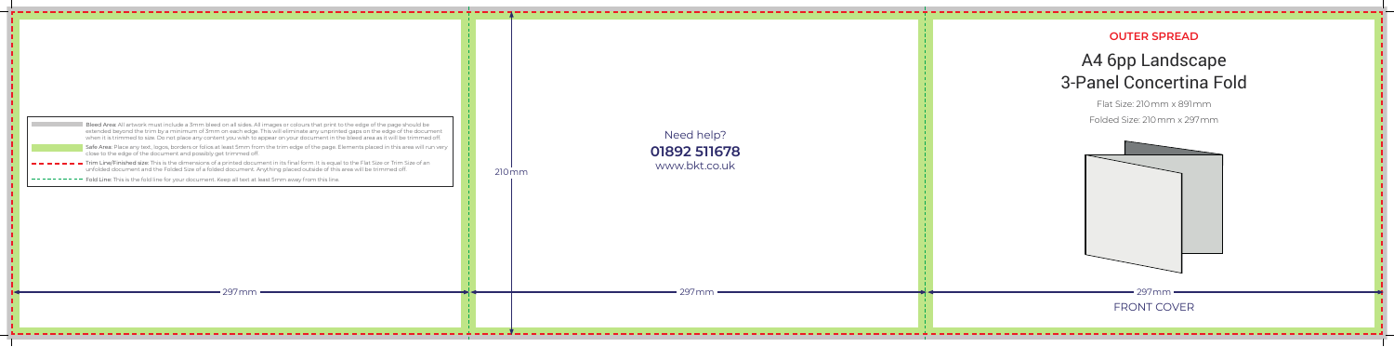## **OUTER SPREAD** A4 6pp Landscape 3-Panel Concertina Fold

Flat Size: 210mm x 891mm

- Trim Line/Finished size: This is the dimensions of a printed document in its final form. It is equal to the Flat Size or Trim Size of an unfolded document and the Folded Size of a folded document. Anything placed outside of this area will be trimmed off.
- Fold Line: This is the fold line for your document. Keep all text at least 5mm away from this line.

| Bleed Area: All artwork must include a 3mm bleed on all sides. All images or colours that print to the edge of the page should be     |
|---------------------------------------------------------------------------------------------------------------------------------------|
| extended beyond the trim by a minimum of 3mm on each edge. This will eliminate any unprinted gaps on the edge of the document         |
| when it is trimmed to size. Do not place any content you wish to appear on your document in the bleed area as it will be trimmed off. |

Safe Area: Place any text, logos, borders or folios at least 5mm from the trim edge of the page. Elements placed in this area will run very close to the edge of the document and possibly get trimmed off.